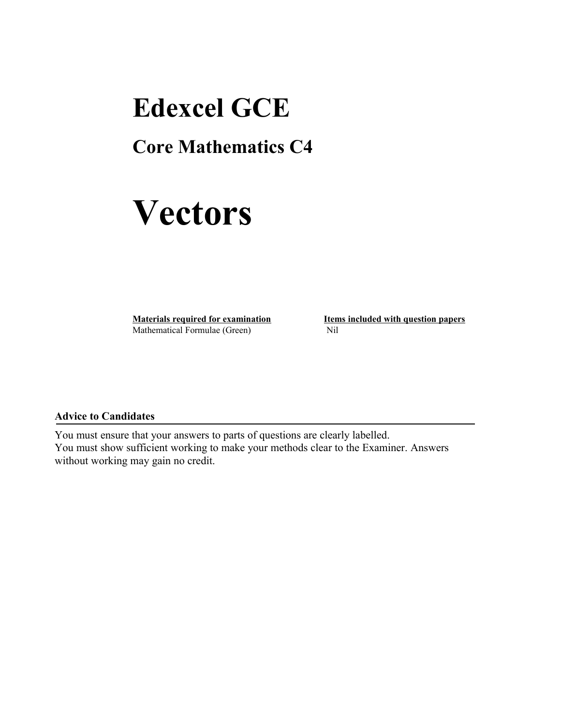## **Edexcel GCE**

### **Core Mathematics C4**

# **Vectors**

**Materials required for examination Items included with question papers** Mathematical Formulae (Green)Nil

#### **Advice to Candidates**

You must ensure that your answers to parts of questions are clearly labelled. You must show sufficient working to make your methods clear to the Examiner. Answers without working may gain no credit.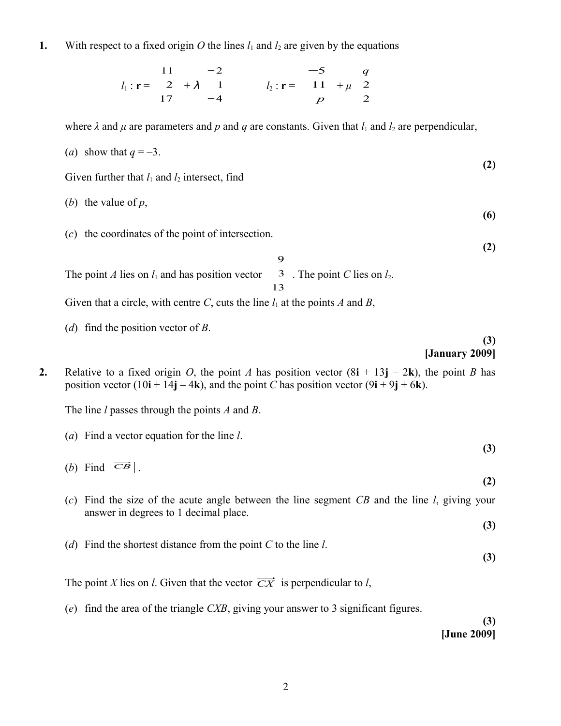**1.** With respect to a fixed origin O the lines  $l_1$  and  $l_2$  are given by the equations

$$
l_1: \mathbf{r} = \begin{pmatrix} 11 \\ 2 \\ 17 \end{pmatrix} + \lambda \begin{pmatrix} -2 \\ 1 \\ -4 \end{pmatrix} \qquad \qquad l_2: \mathbf{r} = \begin{pmatrix} -5 \\ 11 \\ p \end{pmatrix} + \mu \begin{pmatrix} q \\ 2 \\ 2 \end{pmatrix}
$$

where  $\lambda$  and  $\mu$  are parameters and  $p$  and  $q$  are constants. Given that  $l_1$  and  $l_2$  are perpendicular,

(a) show that 
$$
q = -3
$$
. (2)

Given further that  $l_1$  and  $l_2$  intersect, find

- (*b*) the value of *p*,
- (*c*) the coordinates of the point of intersection.

The point  $A$  lies on  $l_1$  and has position vector J  $\overline{\phantom{a}}$  $\big)$ I I I l ſ 13 3 9 . The point  $C$  lies on  $l_2$ . Given that a circle, with centre *C*, cuts the line  $l_1$  at the points *A* and *B*,

(*d*) find the position vector of *B*.

#### **(3) [January 2009]**

**(6)**

**(2)**

**2.** Relative to a fixed origin *O*, the point *A* has position vector  $(8\mathbf{i} + 13\mathbf{j} - 2\mathbf{k})$ , the point *B* has position vector  $(10\mathbf{i} + 14\mathbf{j} - 4\mathbf{k})$ , and the point *C* has position vector  $(9\mathbf{i} + 9\mathbf{j} + 6\mathbf{k})$ .

The line *l* passes through the points *A* and *B*.

(a) Find a vector equation for the line 
$$
l
$$
. (3)

- (*b*) Find  $|\overrightarrow{CB}|$ . **(2)**
- (*c*) Find the size of the acute angle between the line segment *CB* and the line *l*, giving your answer in degrees to 1 decimal place. **(3)**
- (*d*) Find the shortest distance from the point *C* to the line *l*.

**(3)**

The point *X* lies on *l*. Given that the vector  $\overrightarrow{CX}$  is perpendicular to *l*,

(*e*) find the area of the triangle *CXB*, giving your answer to 3 significant figures.

**(3) [June 2009]**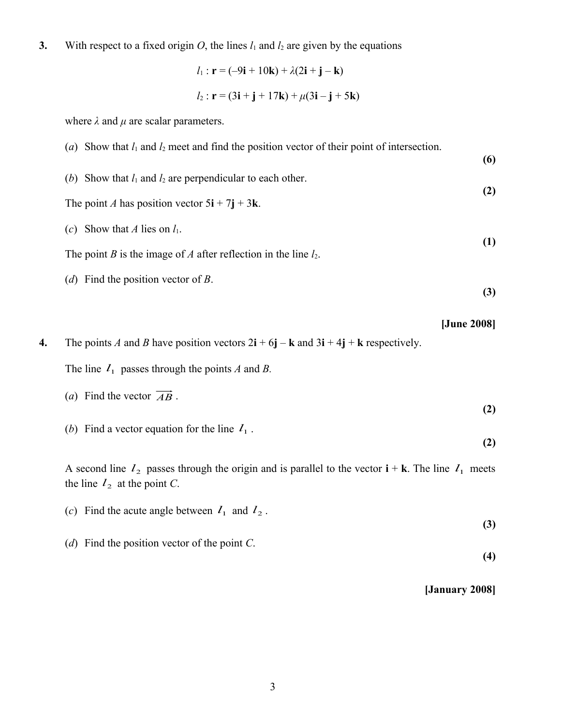**3.** With respect to a fixed origin *O*, the lines  $l_1$  and  $l_2$  are given by the equations

$$
l_1: \mathbf{r} = (-9\mathbf{i} + 10\mathbf{k}) + \lambda(2\mathbf{i} + \mathbf{j} - \mathbf{k})
$$
  

$$
l_2: \mathbf{r} = (3\mathbf{i} + \mathbf{j} + 17\mathbf{k}) + \mu(3\mathbf{i} - \mathbf{j} + 5\mathbf{k})
$$

where  $\lambda$  and  $\mu$  are scalar parameters.

| (a) Show that $l_1$ and $l_2$ meet and find the position vector of their point of intersection. | (6) |  |
|-------------------------------------------------------------------------------------------------|-----|--|
| (b) Show that $l_1$ and $l_2$ are perpendicular to each other.                                  | (2) |  |
| The point A has position vector $5i + 7j + 3k$ .                                                |     |  |
| Show that A lies on $l_1$ .<br>(c)                                                              | (1) |  |
| The point B is the image of A after reflection in the line $l_2$ .                              |     |  |
| ( <i>d</i> ) Find the position vector of <i>B</i> .                                             | (3) |  |

**4.** The points *A* and *B* have position vectors  $2\mathbf{i} + 6\mathbf{j} - \mathbf{k}$  and  $3\mathbf{i} + 4\mathbf{j} + \mathbf{k}$  respectively.

The line  $I_1$  passes through the points *A* and *B*.

(a) Find the vector 
$$
\overrightarrow{AB}
$$
.

(b) Find a vector equation for the line  $I_1$ .

A second line  $l_2$  passes through the origin and is parallel to the vector  $\mathbf{i} + \mathbf{k}$ . The line  $l_1$  meets the line  $l_2$  at the point *C*.

- (*c*) Find the acute angle between  $l_1$  and  $l_2$ . **(3)**
- (*d*) Find the position vector of the point *C*.

**[January 2008]**

**[June 2008]**

**(2)**

**(2)**

**(4)**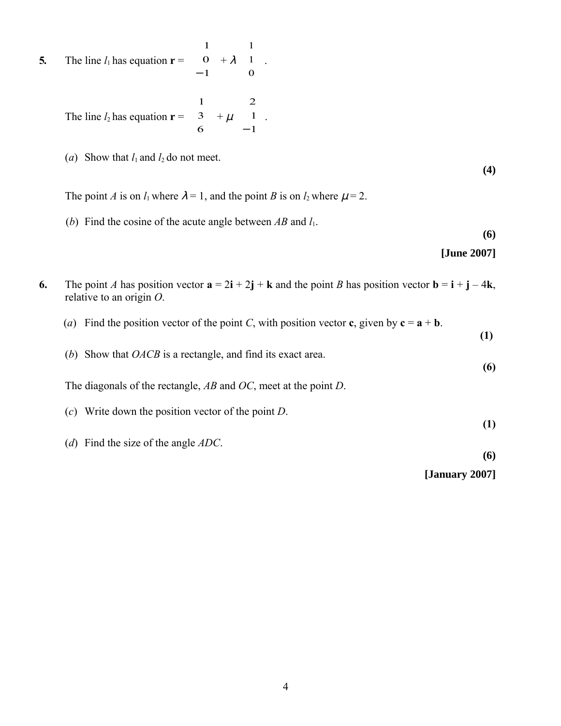**5.** The line  $l_1$  has equation  $\mathbf{r} =$  $\overline{\phantom{0}}$  $\backslash$ I I ſ l ſ − 1  $\mathbf{o}$ 1  $+ \lambda$ I i, I  $\overline{1}$  $\lambda$ I I I l ſ 0 1 1 .

> The line  $l_2$  has equation  $\mathbf{r} =$ J J  $\bigg)$  $\big)$ I I I l ſ 6 3 1  $+ \mu$ J J J  $\overline{\phantom{a}}$  $\big)$ I I I l ſ − 1 1 2 .

(*a*) Show that  $l_1$  and  $l_2$  do not meet.

**(4)**

The point *A* is on  $l_1$  where  $\lambda = 1$ , and the point *B* is on  $l_2$  where  $\mu = 2$ .

(*b*) Find the cosine of the acute angle between *AB* and *l*1.

**(6)**

| [June 2007] |  |
|-------------|--|
|-------------|--|

| 6. | The point A has position vector $\mathbf{a} = 2\mathbf{i} + 2\mathbf{j} + \mathbf{k}$ and the point B has position vector $\mathbf{b} = \mathbf{i} + \mathbf{j} - 4\mathbf{k}$ ,<br>relative to an origin $O$ . |                |
|----|-----------------------------------------------------------------------------------------------------------------------------------------------------------------------------------------------------------------|----------------|
|    | (a) Find the position vector of the point C, with position vector c, given by $c = a + b$ .                                                                                                                     | (1)            |
|    | (b) Show that $OACB$ is a rectangle, and find its exact area.                                                                                                                                                   | (6)            |
|    | The diagonals of the rectangle, $AB$ and $OC$ , meet at the point D.                                                                                                                                            |                |
|    | (c) Write down the position vector of the point $D$ .                                                                                                                                                           | (1)            |
|    | (d) Find the size of the angle $ADC$ .                                                                                                                                                                          | (6)            |
|    |                                                                                                                                                                                                                 | [January 2007] |